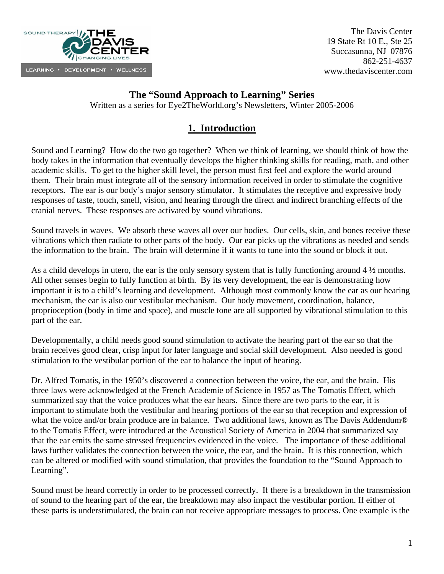

## **The "Sound Approach to Learning" Series**

Written as a series for Eye2TheWorld.org's Newsletters, Winter 2005-2006

# **1. Introduction**

Sound and Learning? How do the two go together? When we think of learning, we should think of how the body takes in the information that eventually develops the higher thinking skills for reading, math, and other academic skills. To get to the higher skill level, the person must first feel and explore the world around them. Their brain must integrate all of the sensory information received in order to stimulate the cognitive receptors. The ear is our body's major sensory stimulator. It stimulates the receptive and expressive body responses of taste, touch, smell, vision, and hearing through the direct and indirect branching effects of the cranial nerves. These responses are activated by sound vibrations.

Sound travels in waves. We absorb these waves all over our bodies. Our cells, skin, and bones receive these vibrations which then radiate to other parts of the body. Our ear picks up the vibrations as needed and sends the information to the brain. The brain will determine if it wants to tune into the sound or block it out.

As a child develops in utero, the ear is the only sensory system that is fully functioning around 4 ½ months. All other senses begin to fully function at birth. By its very development, the ear is demonstrating how important it is to a child's learning and development. Although most commonly know the ear as our hearing mechanism, the ear is also our vestibular mechanism. Our body movement, coordination, balance, proprioception (body in time and space), and muscle tone are all supported by vibrational stimulation to this part of the ear.

Developmentally, a child needs good sound stimulation to activate the hearing part of the ear so that the brain receives good clear, crisp input for later language and social skill development. Also needed is good stimulation to the vestibular portion of the ear to balance the input of hearing.

Dr. Alfred Tomatis, in the 1950's discovered a connection between the voice, the ear, and the brain. His three laws were acknowledged at the French Academie of Science in 1957 as The Tomatis Effect, which summarized say that the voice produces what the ear hears. Since there are two parts to the ear, it is important to stimulate both the vestibular and hearing portions of the ear so that reception and expression of what the voice and/or brain produce are in balance. Two additional laws, known as The Davis Addendum® to the Tomatis Effect, were introduced at the Acoustical Society of America in 2004 that summarized say that the ear emits the same stressed frequencies evidenced in the voice. The importance of these additional laws further validates the connection between the voice, the ear, and the brain. It is this connection, which can be altered or modified with sound stimulation, that provides the foundation to the "Sound Approach to Learning".

Sound must be heard correctly in order to be processed correctly. If there is a breakdown in the transmission of sound to the hearing part of the ear, the breakdown may also impact the vestibular portion. If either of these parts is understimulated, the brain can not receive appropriate messages to process. One example is the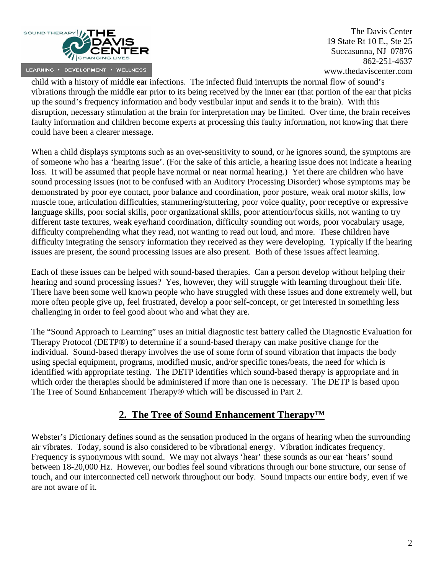

child with a history of middle ear infections. The infected fluid interrupts the normal flow of sound's vibrations through the middle ear prior to its being received by the inner ear (that portion of the ear that picks up the sound's frequency information and body vestibular input and sends it to the brain). With this disruption, necessary stimulation at the brain for interpretation may be limited. Over time, the brain receives faulty information and children become experts at processing this faulty information, not knowing that there could have been a clearer message.

When a child displays symptoms such as an over-sensitivity to sound, or he ignores sound, the symptoms are of someone who has a 'hearing issue'. (For the sake of this article, a hearing issue does not indicate a hearing loss. It will be assumed that people have normal or near normal hearing.) Yet there are children who have sound processing issues (not to be confused with an Auditory Processing Disorder) whose symptoms may be demonstrated by poor eye contact, poor balance and coordination, poor posture, weak oral motor skills, low muscle tone, articulation difficulties, stammering/stuttering, poor voice quality, poor receptive or expressive language skills, poor social skills, poor organizational skills, poor attention/focus skills, not wanting to try different taste textures, weak eye/hand coordination, difficulty sounding out words, poor vocabulary usage, difficulty comprehending what they read, not wanting to read out loud, and more. These children have difficulty integrating the sensory information they received as they were developing. Typically if the hearing issues are present, the sound processing issues are also present. Both of these issues affect learning.

Each of these issues can be helped with sound-based therapies. Can a person develop without helping their hearing and sound processing issues? Yes, however, they will struggle with learning throughout their life. There have been some well known people who have struggled with these issues and done extremely well, but more often people give up, feel frustrated, develop a poor self-concept, or get interested in something less challenging in order to feel good about who and what they are.

The "Sound Approach to Learning" uses an initial diagnostic test battery called the Diagnostic Evaluation for Therapy Protocol (DETP®) to determine if a sound-based therapy can make positive change for the individual. Sound-based therapy involves the use of some form of sound vibration that impacts the body using special equipment, programs, modified music, and/or specific tones/beats, the need for which is identified with appropriate testing. The DETP identifies which sound-based therapy is appropriate and in which order the therapies should be administered if more than one is necessary. The DETP is based upon The Tree of Sound Enhancement Therapy® which will be discussed in Part 2.

## **2. The Tree of Sound Enhancement Therapy™**

Webster's Dictionary defines sound as the sensation produced in the organs of hearing when the surrounding air vibrates. Today, sound is also considered to be vibrational energy. Vibration indicates frequency. Frequency is synonymous with sound. We may not always 'hear' these sounds as our ear 'hears' sound between 18-20,000 Hz. However, our bodies feel sound vibrations through our bone structure, our sense of touch, and our interconnected cell network throughout our body. Sound impacts our entire body, even if we are not aware of it.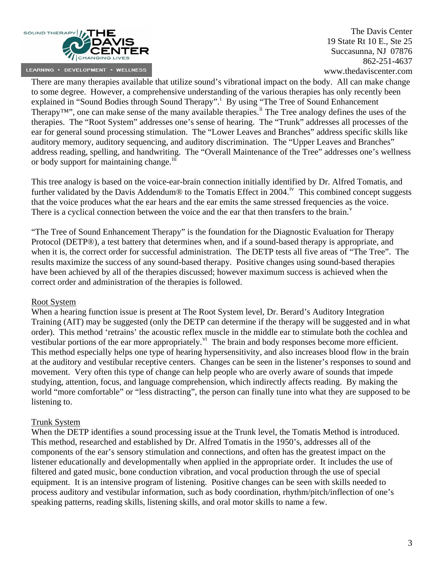

There are many therapies available that utilize sound's vibrational impact on the body. All can make change to some degree. However, a comprehensive understanding of the various therapies has only recently been expla[i](#page-9-0)ned in "Sound Bodies through Sound Therapy".<sup>i</sup> By using "The Tree of Sound Enhancement Therapy<sup>TM</sup>", one can make sense of the many available therapies.<sup>[ii](#page-9-1)</sup> The Tree analogy defines the uses of the therapies. The "Root System" addresses one's sense of hearing. The "Trunk" addresses all processes of the ear for general sound processing stimulation. The "Lower Leaves and Branches" address specific skills like auditory memory, auditory sequencing, and auditory discrimination. The "Upper Leaves and Branches" address reading, spelling, and handwriting. The "Overall Maintenance of the Tree" addresses one's wellness or body support for maintaining change.<sup>111</sup>

This tree analogy is based on the voice-ear-brain connection initially identified by Dr. Alfred Tomatis, and further validated by the Davis Addendum® to the Tomatis Effect in 2004.<sup>[iv](#page-9-1)</sup> This combined concept suggests that the voice produces what the ear hears and the ear emits the same stressed frequencies as the voice. There is a cyclical connection between the [v](#page-9-1)oice and the ear that then transfers to the brain.<sup>v</sup>

"The Tree of Sound Enhancement Therapy" is the foundation for the Diagnostic Evaluation for Therapy Protocol (DETP®), a test battery that determines when, and if a sound-based therapy is appropriate, and when it is, the correct order for successful administration. The DETP tests all five areas of "The Tree". The results maximize the success of any sound-based therapy. Positive changes using sound-based therapies have been achieved by all of the therapies discussed; however maximum success is achieved when the correct order and administration of the therapies is followed.

#### Root System

When a hearing function issue is present at The Root System level, Dr. Berard's Auditory Integration Training (AIT) may be suggested (only the DETP can determine if the therapy will be suggested and in what order). This method 'retrains' the acoustic reflex muscle in the middle ear to stimulate both the cochlea and vestibular portions of the ear more appropriately.<sup>[vi](#page-9-1)</sup> The brain and body responses become more efficient. This method especially helps one type of hearing hypersensitivity, and also increases blood flow in the brain at the auditory and vestibular receptive centers. Changes can be seen in the listener's responses to sound and movement. Very often this type of change can help people who are overly aware of sounds that impede studying, attention, focus, and language comprehension, which indirectly affects reading. By making the world "more comfortable" or "less distracting", the person can finally tune into what they are supposed to be listening to.

### Trunk System

When the DETP identifies a sound processing issue at the Trunk level, the Tomatis Method is introduced. This method, researched and established by Dr. Alfred Tomatis in the 1950's, addresses all of the components of the ear's sensory stimulation and connections, and often has the greatest impact on the listener educationally and developmentally when applied in the appropriate order. It includes the use of filtered and gated music, bone conduction vibration, and vocal production through the use of special equipment. It is an intensive program of listening. Positive changes can be seen with skills needed to process auditory and vestibular information, such as body coordination, rhythm/pitch/inflection of one's speaking patterns, reading skills, listening skills, and oral motor skills to name a few.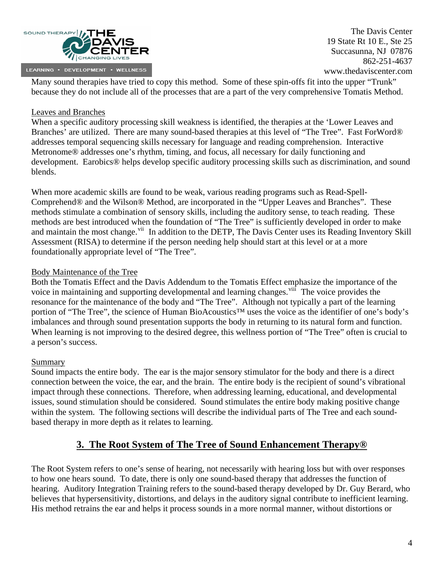

Many sound therapies have tried to copy this method. Some of these spin-offs fit into the upper "Trunk" because they do not include all of the processes that are a part of the very comprehensive Tomatis Method.

### Leaves and Branches

When a specific auditory processing skill weakness is identified, the therapies at the 'Lower Leaves and Branches' are utilized. There are many sound-based therapies at this level of "The Tree". Fast ForWord® addresses temporal sequencing skills necessary for language and reading comprehension. Interactive Metronome® addresses one's rhythm, timing, and focus, all necessary for daily functioning and development. Earobics® helps develop specific auditory processing skills such as discrimination, and sound blends.

When more academic skills are found to be weak, various reading programs such as Read-Spell-Comprehend® and the Wilson® Method, are incorporated in the "Upper Leaves and Branches". These methods stimulate a combination of sensory skills, including the auditory sense, to teach reading. These methods are best introduced when the foundation of "The Tree" is sufficiently developed in order to make and maintain the most change.<sup>[vii](#page-9-1)</sup> In addition to the DETP, The Davis Center uses its Reading Inventory Skill Assessment (RISA) to determine if the person needing help should start at this level or at a more foundationally appropriate level of "The Tree".

#### Body Maintenance of the Tree

Both the Tomatis Effect and the Davis Addendum to the Tomatis Effect emphasize the importance of the voice in maintaining and supporting developmental and learning changes.<sup>[viii](#page-9-1)</sup> The voice provides the resonance for the maintenance of the body and "The Tree". Although not typically a part of the learning portion of "The Tree", the science of Human BioAcoustics™ uses the voice as the identifier of one's body's imbalances and through sound presentation supports the body in returning to its natural form and function. When learning is not improving to the desired degree, this wellness portion of "The Tree" often is crucial to a person's success.

#### Summary

Sound impacts the entire body. The ear is the major sensory stimulator for the body and there is a direct connection between the voice, the ear, and the brain. The entire body is the recipient of sound's vibrational impact through these connections. Therefore, when addressing learning, educational, and developmental issues, sound stimulation should be considered. Sound stimulates the entire body making positive change within the system. The following sections will describe the individual parts of The Tree and each soundbased therapy in more depth as it relates to learning.

## **3. The Root System of The Tree of Sound Enhancement Therapy®**

The Root System refers to one's sense of hearing, not necessarily with hearing loss but with over responses to how one hears sound. To date, there is only one sound-based therapy that addresses the function of hearing. Auditory Integration Training refers to the sound-based therapy developed by Dr. Guy Berard, who believes that hypersensitivity, distortions, and delays in the auditory signal contribute to inefficient learning. His method retrains the ear and helps it process sounds in a more normal manner, without distortions or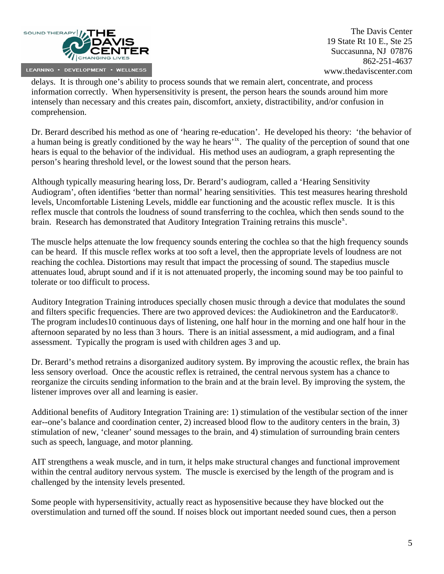

delays. It is through one's ability to process sounds that we remain alert, concentrate, and process information correctly. When hypersensitivity is present, the person hears the sounds around him more intensely than necessary and this creates pain, discomfort, anxiety, distractibility, and/or confusion in comprehension.

Dr. Berard described his method as one of 'hearing re-education'. He developed his theory: 'the behavior of a human being is greatly conditioned by the way he hears<sup>[ix](#page-9-1)</sup>. The quality of the perception of sound that one hears is equal to the behavior of the individual. His method uses an audiogram, a graph representing the person's hearing threshold level, or the lowest sound that the person hears.

Although typically measuring hearing loss, Dr. Berard's audiogram, called a 'Hearing Sensitivity Audiogram', often identifies 'better than normal' hearing sensitivities. This test measures hearing threshold levels, Uncomfortable Listening Levels, middle ear functioning and the acoustic reflex muscle. It is this reflex muscle that controls the loudness of sound transferring to the cochlea, which then sends sound to the brain. Research has demonstrated that Auditory Integration Training retrains this muscle<sup>[x](#page-9-1)</sup>.

The muscle helps attenuate the low frequency sounds entering the cochlea so that the high frequency sounds can be heard. If this muscle reflex works at too soft a level, then the appropriate levels of loudness are not reaching the cochlea. Distortions may result that impact the processing of sound. The stapedius muscle attenuates loud, abrupt sound and if it is not attenuated properly, the incoming sound may be too painful to tolerate or too difficult to process.

Auditory Integration Training introduces specially chosen music through a device that modulates the sound and filters specific frequencies. There are two approved devices: the Audiokinetron and the Earducator®. The program includes10 continuous days of listening, one half hour in the morning and one half hour in the afternoon separated by no less than 3 hours. There is an initial assessment, a mid audiogram, and a final assessment. Typically the program is used with children ages 3 and up.

Dr. Berard's method retrains a disorganized auditory system. By improving the acoustic reflex, the brain has less sensory overload. Once the acoustic reflex is retrained, the central nervous system has a chance to reorganize the circuits sending information to the brain and at the brain level. By improving the system, the listener improves over all and learning is easier.

Additional benefits of Auditory Integration Training are: 1) stimulation of the vestibular section of the inner ear--one's balance and coordination center, 2) increased blood flow to the auditory centers in the brain, 3) stimulation of new, 'cleaner' sound messages to the brain, and 4) stimulation of surrounding brain centers such as speech, language, and motor planning.

AIT strengthens a weak muscle, and in turn, it helps make structural changes and functional improvement within the central auditory nervous system. The muscle is exercised by the length of the program and is challenged by the intensity levels presented.

Some people with hypersensitivity, actually react as hyposensitive because they have blocked out the overstimulation and turned off the sound. If noises block out important needed sound cues, then a person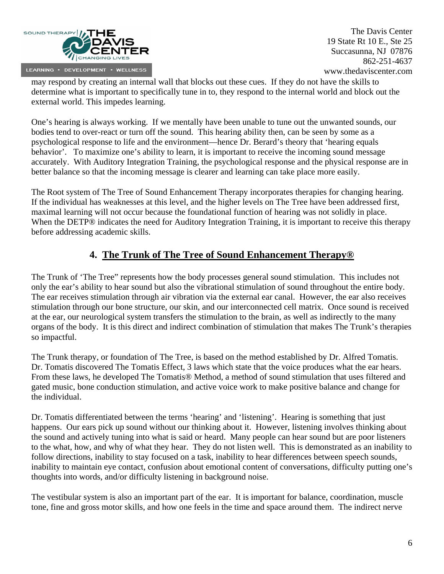

may respond by creating an internal wall that blocks out these cues. If they do not have the skills to determine what is important to specifically tune in to, they respond to the internal world and block out the external world. This impedes learning.

One's hearing is always working. If we mentally have been unable to tune out the unwanted sounds, our bodies tend to over-react or turn off the sound. This hearing ability then, can be seen by some as a psychological response to life and the environment—hence Dr. Berard's theory that 'hearing equals behavior'. To maximize one's ability to learn, it is important to receive the incoming sound message accurately. With Auditory Integration Training, the psychological response and the physical response are in better balance so that the incoming message is clearer and learning can take place more easily.

The Root system of The Tree of Sound Enhancement Therapy incorporates therapies for changing hearing. If the individual has weaknesses at this level, and the higher levels on The Tree have been addressed first, maximal learning will not occur because the foundational function of hearing was not solidly in place. When the DETP® indicates the need for Auditory Integration Training, it is important to receive this therapy before addressing academic skills.

# **4. The Trunk of The Tree of Sound Enhancement Therapy®**

The Trunk of 'The Tree" represents how the body processes general sound stimulation. This includes not only the ear's ability to hear sound but also the vibrational stimulation of sound throughout the entire body. The ear receives stimulation through air vibration via the external ear canal. However, the ear also receives stimulation through our bone structure, our skin, and our interconnected cell matrix. Once sound is received at the ear, our neurological system transfers the stimulation to the brain, as well as indirectly to the many organs of the body. It is this direct and indirect combination of stimulation that makes The Trunk's therapies so impactful.

The Trunk therapy, or foundation of The Tree, is based on the method established by Dr. Alfred Tomatis. Dr. Tomatis discovered The Tomatis Effect, 3 laws which state that the voice produces what the ear hears. From these laws, he developed The Tomatis® Method, a method of sound stimulation that uses filtered and gated music, bone conduction stimulation, and active voice work to make positive balance and change for the individual.

Dr. Tomatis differentiated between the terms 'hearing' and 'listening'. Hearing is something that just happens. Our ears pick up sound without our thinking about it. However, listening involves thinking about the sound and actively tuning into what is said or heard. Many people can hear sound but are poor listeners to the what, how, and why of what they hear. They do not listen well. This is demonstrated as an inability to follow directions, inability to stay focused on a task, inability to hear differences between speech sounds, inability to maintain eye contact, confusion about emotional content of conversations, difficulty putting one's thoughts into words, and/or difficulty listening in background noise.

The vestibular system is also an important part of the ear. It is important for balance, coordination, muscle tone, fine and gross motor skills, and how one feels in the time and space around them. The indirect nerve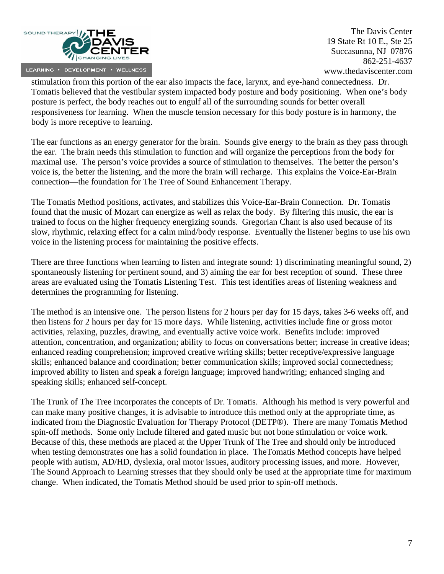

stimulation from this portion of the ear also impacts the face, larynx, and eye-hand connectedness. Dr. Tomatis believed that the vestibular system impacted body posture and body positioning. When one's body posture is perfect, the body reaches out to engulf all of the surrounding sounds for better overall responsiveness for learning. When the muscle tension necessary for this body posture is in harmony, the body is more receptive to learning.

The ear functions as an energy generator for the brain. Sounds give energy to the brain as they pass through the ear. The brain needs this stimulation to function and will organize the perceptions from the body for maximal use. The person's voice provides a source of stimulation to themselves. The better the person's voice is, the better the listening, and the more the brain will recharge. This explains the Voice-Ear-Brain connection—the foundation for The Tree of Sound Enhancement Therapy.

The Tomatis Method positions, activates, and stabilizes this Voice-Ear-Brain Connection. Dr. Tomatis found that the music of Mozart can energize as well as relax the body. By filtering this music, the ear is trained to focus on the higher frequency energizing sounds. Gregorian Chant is also used because of its slow, rhythmic, relaxing effect for a calm mind/body response. Eventually the listener begins to use his own voice in the listening process for maintaining the positive effects.

There are three functions when learning to listen and integrate sound: 1) discriminating meaningful sound, 2) spontaneously listening for pertinent sound, and 3) aiming the ear for best reception of sound. These three areas are evaluated using the Tomatis Listening Test. This test identifies areas of listening weakness and determines the programming for listening.

The method is an intensive one. The person listens for 2 hours per day for 15 days, takes 3-6 weeks off, and then listens for 2 hours per day for 15 more days. While listening, activities include fine or gross motor activities, relaxing, puzzles, drawing, and eventually active voice work. Benefits include: improved attention, concentration, and organization; ability to focus on conversations better; increase in creative ideas; enhanced reading comprehension; improved creative writing skills; better receptive/expressive language skills; enhanced balance and coordination; better communication skills; improved social connectedness; improved ability to listen and speak a foreign language; improved handwriting; enhanced singing and speaking skills; enhanced self-concept.

The Trunk of The Tree incorporates the concepts of Dr. Tomatis. Although his method is very powerful and can make many positive changes, it is advisable to introduce this method only at the appropriate time, as indicated from the Diagnostic Evaluation for Therapy Protocol (DETP®). There are many Tomatis Method spin-off methods. Some only include filtered and gated music but not bone stimulation or voice work. Because of this, these methods are placed at the Upper Trunk of The Tree and should only be introduced when testing demonstrates one has a solid foundation in place. TheTomatis Method concepts have helped people with autism, AD/HD, dyslexia, oral motor issues, auditory processing issues, and more. However, The Sound Approach to Learning stresses that they should only be used at the appropriate time for maximum change. When indicated, the Tomatis Method should be used prior to spin-off methods.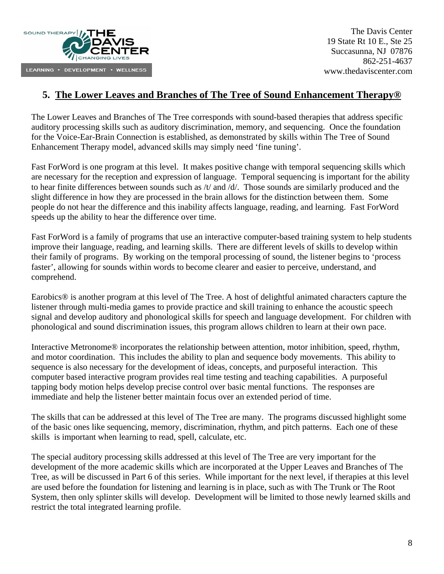

## **5. The Lower Leaves and Branches of The Tree of Sound Enhancement Therapy®**

The Lower Leaves and Branches of The Tree corresponds with sound-based therapies that address specific auditory processing skills such as auditory discrimination, memory, and sequencing. Once the foundation for the Voice-Ear-Brain Connection is established, as demonstrated by skills within The Tree of Sound Enhancement Therapy model, advanced skills may simply need 'fine tuning'.

Fast ForWord is one program at this level. It makes positive change with temporal sequencing skills which are necessary for the reception and expression of language. Temporal sequencing is important for the ability to hear finite differences between sounds such as /t/ and /d/. Those sounds are similarly produced and the slight difference in how they are processed in the brain allows for the distinction between them. Some people do not hear the difference and this inability affects language, reading, and learning. Fast ForWord speeds up the ability to hear the difference over time.

Fast ForWord is a family of programs that use an interactive computer-based training system to help students improve their language, reading, and learning skills. There are different levels of skills to develop within their family of programs. By working on the temporal processing of sound, the listener begins to 'process faster', allowing for sounds within words to become clearer and easier to perceive, understand, and comprehend.

Earobics<sup>®</sup> is another program at this level of The Tree. A host of delightful animated characters capture the listener through multi-media games to provide practice and skill training to enhance the acoustic speech signal and develop auditory and phonological skills for speech and language development. For children with phonological and sound discrimination issues, this program allows children to learn at their own pace.

Interactive Metronome® incorporates the relationship between attention, motor inhibition, speed, rhythm, and motor coordination. This includes the ability to plan and sequence body movements. This ability to sequence is also necessary for the development of ideas, concepts, and purposeful interaction. This computer based interactive program provides real time testing and teaching capabilities. A purposeful tapping body motion helps develop precise control over basic mental functions. The responses are immediate and help the listener better maintain focus over an extended period of time.

The skills that can be addressed at this level of The Tree are many. The programs discussed highlight some of the basic ones like sequencing, memory, discrimination, rhythm, and pitch patterns. Each one of these skills is important when learning to read, spell, calculate, etc.

The special auditory processing skills addressed at this level of The Tree are very important for the development of the more academic skills which are incorporated at the Upper Leaves and Branches of The Tree, as will be discussed in Part 6 of this series. While important for the next level, if therapies at this level are used before the foundation for listening and learning is in place, such as with The Trunk or The Root System, then only splinter skills will develop. Development will be limited to those newly learned skills and restrict the total integrated learning profile.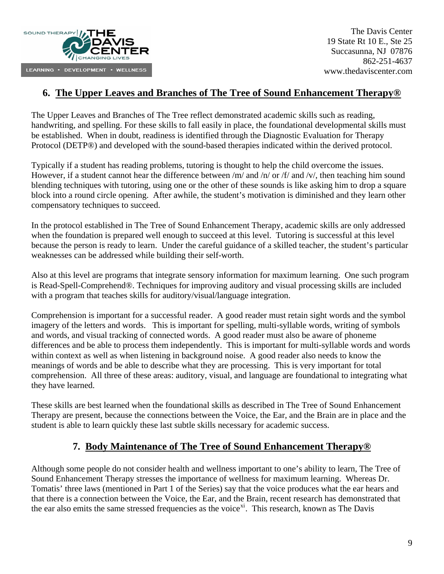

## **6. The Upper Leaves and Branches of The Tree of Sound Enhancement Therapy®**

The Upper Leaves and Branches of The Tree reflect demonstrated academic skills such as reading, handwriting, and spelling. For these skills to fall easily in place, the foundational developmental skills must be established. When in doubt, readiness is identified through the Diagnostic Evaluation for Therapy Protocol (DETP®) and developed with the sound-based therapies indicated within the derived protocol.

Typically if a student has reading problems, tutoring is thought to help the child overcome the issues. However, if a student cannot hear the difference between /m/ and /n/ or /f/ and /v/, then teaching him sound blending techniques with tutoring, using one or the other of these sounds is like asking him to drop a square block into a round circle opening. After awhile, the student's motivation is diminished and they learn other compensatory techniques to succeed.

In the protocol established in The Tree of Sound Enhancement Therapy, academic skills are only addressed when the foundation is prepared well enough to succeed at this level. Tutoring is successful at this level because the person is ready to learn. Under the careful guidance of a skilled teacher, the student's particular weaknesses can be addressed while building their self-worth.

Also at this level are programs that integrate sensory information for maximum learning. One such program is Read-Spell-Comprehend®. Techniques for improving auditory and visual processing skills are included with a program that teaches skills for auditory/visual/language integration.

Comprehension is important for a successful reader. A good reader must retain sight words and the symbol imagery of the letters and words. This is important for spelling, multi-syllable words, writing of symbols and words, and visual tracking of connected words. A good reader must also be aware of phoneme differences and be able to process them independently. This is important for multi-syllable words and words within context as well as when listening in background noise. A good reader also needs to know the meanings of words and be able to describe what they are processing. This is very important for total comprehension. All three of these areas: auditory, visual, and language are foundational to integrating what they have learned.

These skills are best learned when the foundational skills as described in The Tree of Sound Enhancement Therapy are present, because the connections between the Voice, the Ear, and the Brain are in place and the student is able to learn quickly these last subtle skills necessary for academic success.

## **7. Body Maintenance of The Tree of Sound Enhancement Therapy®**

Although some people do not consider health and wellness important to one's ability to learn, The Tree of Sound Enhancement Therapy stresses the importance of wellness for maximum learning. Whereas Dr. Tomatis' three laws (mentioned in Part 1 of the Series) say that the voice produces what the ear hears and that there is a connection between the Voice, the Ear, and the Brain, recent research has demonstrated that the ear also emits the same stressed frequencies as the voice<sup>[xi](#page-9-1)</sup>. This research, known as The Davis